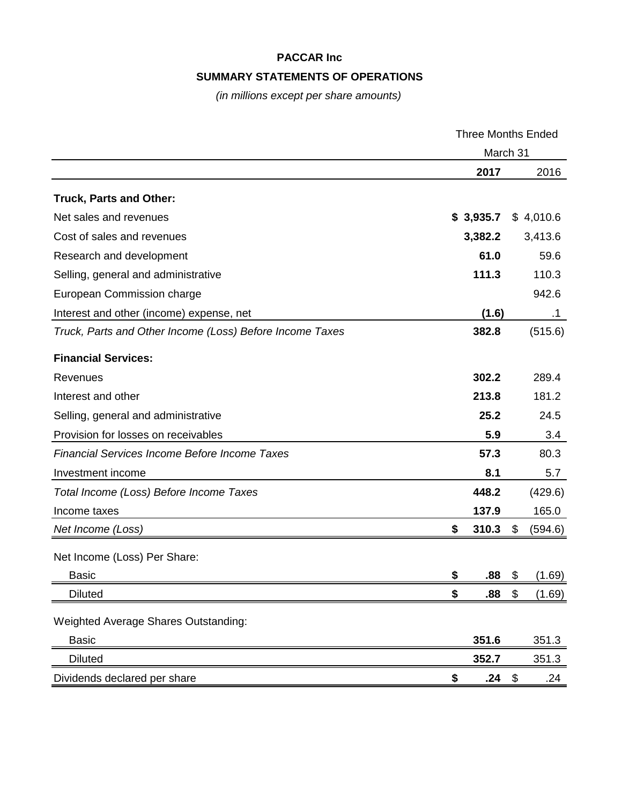### **PACCAR Inc**

### **SUMMARY STATEMENTS OF OPERATIONS**

*(in millions except per share amounts)*

|                                                          | <b>Three Months Ended</b> |    |           |
|----------------------------------------------------------|---------------------------|----|-----------|
|                                                          | March 31                  |    |           |
|                                                          | 2017                      |    | 2016      |
| <b>Truck, Parts and Other:</b>                           |                           |    |           |
| Net sales and revenues                                   | \$3,935.7                 |    | \$4,010.6 |
| Cost of sales and revenues                               | 3,382.2                   |    | 3,413.6   |
| Research and development                                 | 61.0                      |    | 59.6      |
| Selling, general and administrative                      | 111.3                     |    | 110.3     |
| European Commission charge                               |                           |    | 942.6     |
| Interest and other (income) expense, net                 | (1.6)                     |    | .1        |
| Truck, Parts and Other Income (Loss) Before Income Taxes | 382.8                     |    | (515.6)   |
| <b>Financial Services:</b>                               |                           |    |           |
| Revenues                                                 | 302.2                     |    | 289.4     |
| Interest and other                                       | 213.8                     |    | 181.2     |
| Selling, general and administrative                      | 25.2                      |    | 24.5      |
| Provision for losses on receivables                      | 5.9                       |    | 3.4       |
| <b>Financial Services Income Before Income Taxes</b>     | 57.3                      |    | 80.3      |
| Investment income                                        | 8.1                       |    | 5.7       |
| Total Income (Loss) Before Income Taxes                  | 448.2                     |    | (429.6)   |
| Income taxes                                             | 137.9                     |    | 165.0     |
| Net Income (Loss)                                        | \$<br>310.3               | \$ | (594.6)   |
| Net Income (Loss) Per Share:                             |                           |    |           |
| <b>Basic</b>                                             | \$<br>.88                 | \$ | (1.69)    |
| <b>Diluted</b>                                           | \$<br>.88                 | \$ | (1.69)    |
| Weighted Average Shares Outstanding:                     |                           |    |           |
| <b>Basic</b>                                             | 351.6                     |    | 351.3     |
| <b>Diluted</b>                                           | 352.7                     |    | 351.3     |
| Dividends declared per share                             | \$<br>.24                 | \$ | .24       |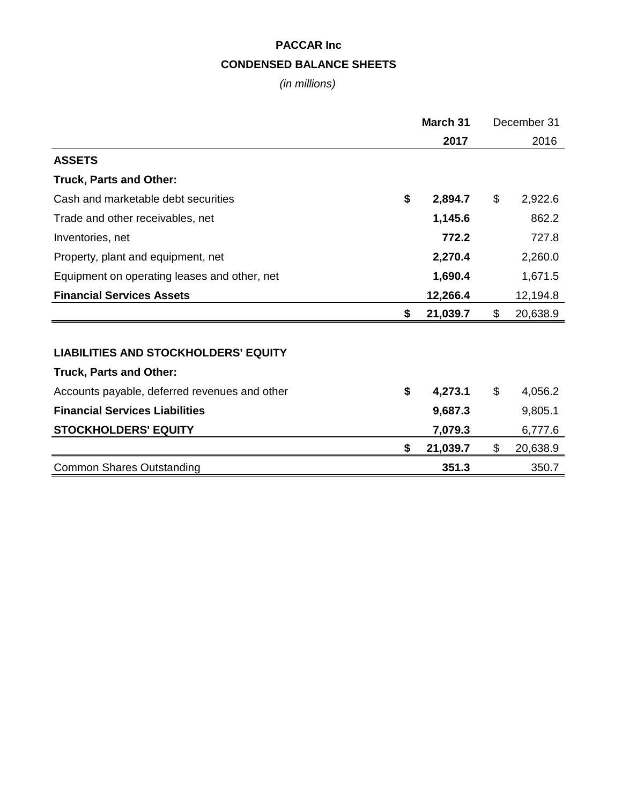# **PACCAR Inc CONDENSED BALANCE SHEETS**

*(in millions)*

|                                               | March 31       |                | December 31 |  |
|-----------------------------------------------|----------------|----------------|-------------|--|
|                                               | 2017           |                | 2016        |  |
| <b>ASSETS</b>                                 |                |                |             |  |
| <b>Truck, Parts and Other:</b>                |                |                |             |  |
| Cash and marketable debt securities           | \$<br>2,894.7  | \$             | 2,922.6     |  |
| Trade and other receivables, net              | 1,145.6        |                | 862.2       |  |
| Inventories, net                              | 772.2          |                | 727.8       |  |
| Property, plant and equipment, net            | 2,270.4        |                | 2,260.0     |  |
| Equipment on operating leases and other, net  | 1,690.4        |                | 1,671.5     |  |
| <b>Financial Services Assets</b>              | 12,266.4       |                | 12,194.8    |  |
|                                               | \$<br>21,039.7 | $\mathfrak{S}$ | 20,638.9    |  |
|                                               |                |                |             |  |
| <b>LIABILITIES AND STOCKHOLDERS' EQUITY</b>   |                |                |             |  |
| <b>Truck, Parts and Other:</b>                |                |                |             |  |
| Accounts payable, deferred revenues and other | \$<br>4,273.1  | \$             | 4,056.2     |  |
| <b>Financial Services Liabilities</b>         | 9,687.3        |                | 9,805.1     |  |
| <b>STOCKHOLDERS' EQUITY</b>                   | 7,079.3        |                | 6,777.6     |  |
|                                               | \$<br>21,039.7 | \$             | 20,638.9    |  |
| <b>Common Shares Outstanding</b>              | 351.3          |                | 350.7       |  |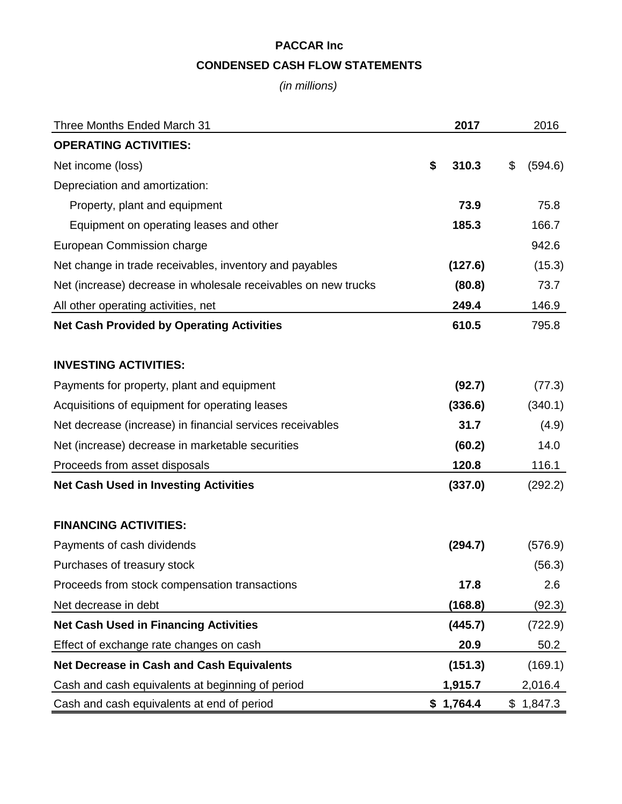## **PACCAR Inc CONDENSED CASH FLOW STATEMENTS**

*(in millions)*

| <b>Three Months Ended March 31</b>                             | 2017        | 2016          |
|----------------------------------------------------------------|-------------|---------------|
| <b>OPERATING ACTIVITIES:</b>                                   |             |               |
| Net income (loss)                                              | \$<br>310.3 | \$<br>(594.6) |
| Depreciation and amortization:                                 |             |               |
| Property, plant and equipment                                  | 73.9        | 75.8          |
| Equipment on operating leases and other                        | 185.3       | 166.7         |
| European Commission charge                                     |             | 942.6         |
| Net change in trade receivables, inventory and payables        | (127.6)     | (15.3)        |
| Net (increase) decrease in wholesale receivables on new trucks | (80.8)      | 73.7          |
| All other operating activities, net                            | 249.4       | 146.9         |
| <b>Net Cash Provided by Operating Activities</b>               | 610.5       | 795.8         |
| <b>INVESTING ACTIVITIES:</b>                                   |             |               |
| Payments for property, plant and equipment                     | (92.7)      | (77.3)        |
| Acquisitions of equipment for operating leases                 | (336.6)     | (340.1)       |
| Net decrease (increase) in financial services receivables      | 31.7        | (4.9)         |
| Net (increase) decrease in marketable securities               | (60.2)      | 14.0          |
| Proceeds from asset disposals                                  | 120.8       | 116.1         |
| <b>Net Cash Used in Investing Activities</b>                   | (337.0)     | (292.2)       |
| <b>FINANCING ACTIVITIES:</b>                                   |             |               |
| Payments of cash dividends                                     | (294.7)     | (576.9)       |
| Purchases of treasury stock                                    |             | (56.3)        |
| Proceeds from stock compensation transactions                  | 17.8        | 2.6           |
| Net decrease in debt                                           | (168.8)     | (92.3)        |
| <b>Net Cash Used in Financing Activities</b>                   | (445.7)     | (722.9)       |
| Effect of exchange rate changes on cash                        | 20.9        | 50.2          |
| <b>Net Decrease in Cash and Cash Equivalents</b>               | (151.3)     | (169.1)       |
| Cash and cash equivalents at beginning of period               | 1,915.7     | 2,016.4       |
| Cash and cash equivalents at end of period                     | \$1,764.4   | \$1,847.3     |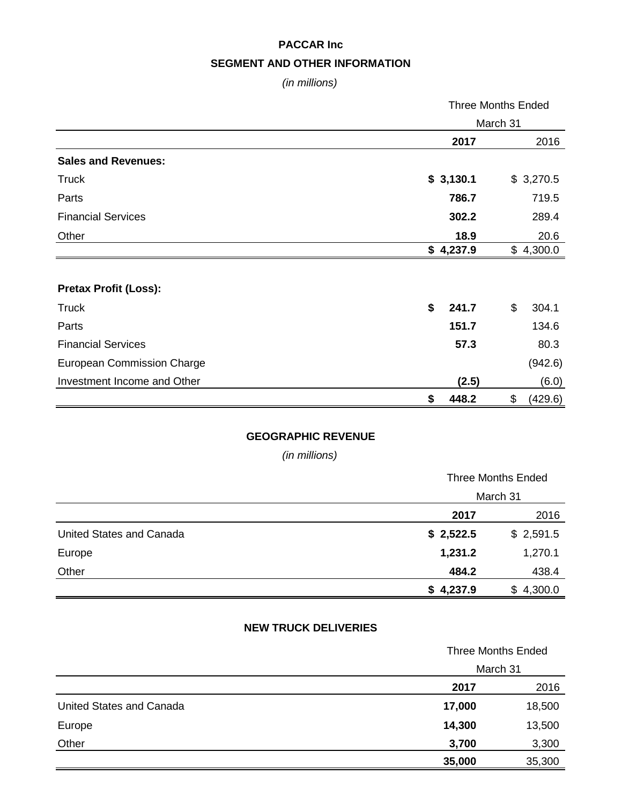## **PACCAR Inc SEGMENT AND OTHER INFORMATION**

*(in millions)*

|                                   | <b>Three Months Ended</b> |    |           |
|-----------------------------------|---------------------------|----|-----------|
|                                   | March 31                  |    |           |
|                                   | 2017                      |    | 2016      |
| <b>Sales and Revenues:</b>        |                           |    |           |
| <b>Truck</b>                      | \$3,130.1                 |    | \$3,270.5 |
| Parts                             | 786.7                     |    | 719.5     |
| <b>Financial Services</b>         | 302.2                     |    | 289.4     |
| Other                             | 18.9                      |    | 20.6      |
|                                   | \$4,237.9                 |    | \$4,300.0 |
|                                   |                           |    |           |
| <b>Pretax Profit (Loss):</b>      |                           |    |           |
| <b>Truck</b>                      | \$<br>241.7               | \$ | 304.1     |
| Parts                             | 151.7                     |    | 134.6     |
| <b>Financial Services</b>         | 57.3                      |    | 80.3      |
| <b>European Commission Charge</b> |                           |    | (942.6)   |
| Investment Income and Other       | (2.5)                     |    | (6.0)     |
|                                   | \$<br>448.2               | \$ | (429.6)   |

#### **GEOGRAPHIC REVENUE**

*(in millions)*

|                          |           | <b>Three Months Ended</b> |  |
|--------------------------|-----------|---------------------------|--|
|                          | March 31  |                           |  |
|                          | 2017      | 2016                      |  |
| United States and Canada | \$2,522.5 | \$2,591.5                 |  |
| Europe                   | 1,231.2   | 1,270.1                   |  |
| Other                    | 484.2     | 438.4                     |  |
|                          | \$4,237.9 | \$4,300.0                 |  |

### **NEW TRUCK DELIVERIES**

|                          | <b>Three Months Ended</b> |        |  |
|--------------------------|---------------------------|--------|--|
|                          | March 31                  |        |  |
|                          | 2017                      | 2016   |  |
| United States and Canada | 17,000                    | 18,500 |  |
| Europe                   | 14,300                    | 13,500 |  |
| Other                    | 3,700                     | 3,300  |  |
|                          | 35,000                    | 35,300 |  |